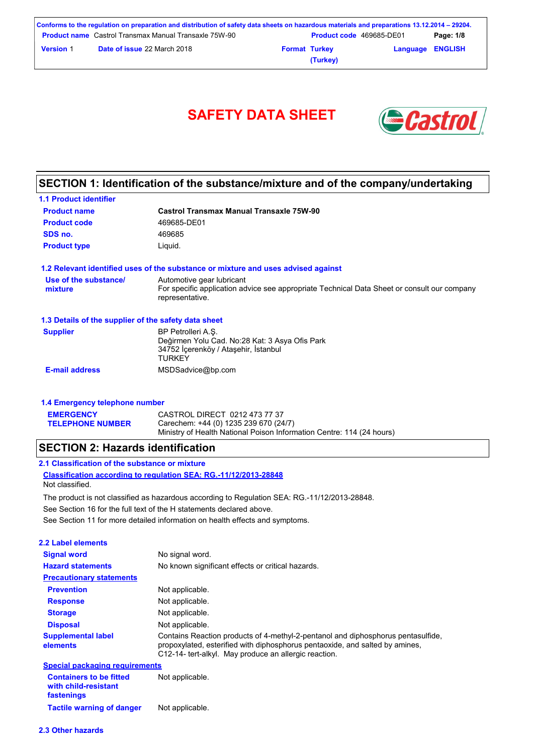| Conforms to the regulation on preparation and distribution of safety data sheets on hazardous materials and preparations 13.12.2014 – 29204. |                                                              |                      |                                 |                         |           |
|----------------------------------------------------------------------------------------------------------------------------------------------|--------------------------------------------------------------|----------------------|---------------------------------|-------------------------|-----------|
|                                                                                                                                              | <b>Product name</b> Castrol Transmax Manual Transaxle 75W-90 |                      | <b>Product code</b> 469685-DE01 |                         | Page: 1/8 |
| <b>Version 1</b>                                                                                                                             | <b>Date of issue 22 March 2018</b>                           | <b>Format Turkey</b> |                                 | <b>Language ENGLISH</b> |           |
|                                                                                                                                              |                                                              |                      | (Turkey)                        |                         |           |



### **SECTION 1: Identification of the substance/mixture and of the company/undertaking**

| <b>1.1 Product identifier</b>                        |                                                                                                                                             |
|------------------------------------------------------|---------------------------------------------------------------------------------------------------------------------------------------------|
| <b>Product name</b>                                  | Castrol Transmax Manual Transaxle 75W-90                                                                                                    |
| <b>Product code</b>                                  | 469685-DE01                                                                                                                                 |
| SDS no.                                              | 469685                                                                                                                                      |
| <b>Product type</b>                                  | Liguid.                                                                                                                                     |
|                                                      | 1.2 Relevant identified uses of the substance or mixture and uses advised against                                                           |
| Use of the substance/<br>mixture                     | Automotive gear lubricant<br>For specific application advice see appropriate Technical Data Sheet or consult our company<br>representative. |
| 1.3 Details of the supplier of the safety data sheet |                                                                                                                                             |
| <b>Supplier</b>                                      | BP Petrolleri A.S.<br>Değirmen Yolu Cad. No:28 Kat: 3 Asya Ofis Park<br>34752 İcerenköy / Ataşehir, İstanbul<br><b>TURKEY</b>               |
| <b>E-mail address</b>                                | MSDSadvice@bp.com                                                                                                                           |

| 1.4 Emergency telephone number |                                                                       |  |  |
|--------------------------------|-----------------------------------------------------------------------|--|--|
| <b>EMERGENCY</b>               | CASTROL DIRECT 0212 473 77 37                                         |  |  |
| <b>TELEPHONE NUMBER</b>        | Carechem: +44 (0) 1235 239 670 (24/7)                                 |  |  |
|                                | Ministry of Health National Poison Information Centre: 114 (24 hours) |  |  |

### **SECTION 2: Hazards identification**

See Section 11 for more detailed information on health effects and symptoms. **Classification according to regulation SEA: RG.-11/12/2013-28848 2.1 Classification of the substance or mixture** See Section 16 for the full text of the H statements declared above. Not classified. The product is not classified as hazardous according to Regulation SEA: RG.-11/12/2013-28848.

| <b>2.2 Label elements</b>             |                                                                                                                                                                                                                           |
|---------------------------------------|---------------------------------------------------------------------------------------------------------------------------------------------------------------------------------------------------------------------------|
| <b>Signal word</b>                    | No signal word.                                                                                                                                                                                                           |
| <b>Hazard statements</b>              | No known significant effects or critical hazards.                                                                                                                                                                         |
| <b>Precautionary statements</b>       |                                                                                                                                                                                                                           |
| <b>Prevention</b>                     | Not applicable.                                                                                                                                                                                                           |
| <b>Response</b>                       | Not applicable.                                                                                                                                                                                                           |
| <b>Storage</b>                        | Not applicable.                                                                                                                                                                                                           |
| <b>Disposal</b>                       | Not applicable.                                                                                                                                                                                                           |
| <b>Supplemental label</b><br>elements | Contains Reaction products of 4-methyl-2-pentanol and diphosphorus pentasulfide,<br>propoxylated, esterified with diphosphorus pentaoxide, and salted by amines,<br>C12-14- tert-alkyl. May produce an allergic reaction. |
| <b>Special packaging requirements</b> |                                                                                                                                                                                                                           |
| Containers to be fitted               | Not annlicahle                                                                                                                                                                                                            |

**Containers to be fitted with child-resistant fastenings** ot applicable **Tactile warning of danger** Not applicable.

#### **2.3 Other hazards**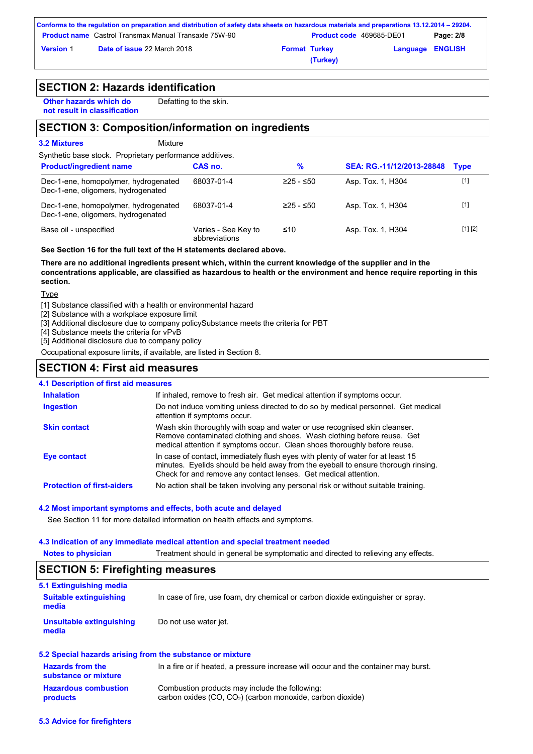| Conforms to the regulation on preparation and distribution of safety data sheets on hazardous materials and preparations 13.12.2014 – 29204. |                                                              |                      |                                 |                         |           |
|----------------------------------------------------------------------------------------------------------------------------------------------|--------------------------------------------------------------|----------------------|---------------------------------|-------------------------|-----------|
|                                                                                                                                              | <b>Product name</b> Castrol Transmax Manual Transaxle 75W-90 |                      | <b>Product code</b> 469685-DE01 |                         | Page: 2/8 |
| <b>Version 1</b>                                                                                                                             | <b>Date of issue 22 March 2018</b>                           | <b>Format Turkey</b> |                                 | <b>Language ENGLISH</b> |           |
|                                                                                                                                              |                                                              |                      | (Turkey)                        |                         |           |

### **SECTION 2: Hazards identification**

**Other hazards which do not result in classification** Defatting to the skin.

### **SECTION 3: Composition/information on ingredients**

| <b>3.2 Mixtures</b><br>Mixture                                             |                                      |             |                           |             |
|----------------------------------------------------------------------------|--------------------------------------|-------------|---------------------------|-------------|
| Synthetic base stock. Proprietary performance additives.                   |                                      |             |                           |             |
| <b>Product/ingredient name</b>                                             | CAS no.                              | %           | SEA: RG.-11/12/2013-28848 | <b>Type</b> |
| Dec-1-ene, homopolymer, hydrogenated<br>Dec-1-ene, oligomers, hydrogenated | 68037-01-4                           | $≥25 - ≤50$ | Asp. Tox. 1, H304         | $[1]$       |
| Dec-1-ene, homopolymer, hydrogenated<br>Dec-1-ene, oligomers, hydrogenated | 68037-01-4                           | $≥25 - ≤50$ | Asp. Tox. 1, H304         | $[1]$       |
| Base oil - unspecified                                                     | Varies - See Key to<br>abbreviations | ≤10         | Asp. Tox. 1, H304         | [1] [2]     |

**See Section 16 for the full text of the H statements declared above.**

**There are no additional ingredients present which, within the current knowledge of the supplier and in the concentrations applicable, are classified as hazardous to health or the environment and hence require reporting in this section.**

Type

[1] Substance classified with a health or environmental hazard

[2] Substance with a workplace exposure limit

[3] Additional disclosure due to company policySubstance meets the criteria for PBT

[4] Substance meets the criteria for vPvB

[5] Additional disclosure due to company policy

Occupational exposure limits, if available, are listed in Section 8.

### **SECTION 4: First aid measures**

#### **4.1 Description of first aid measures**

| <b>Inhalation</b>                 | If inhaled, remove to fresh air. Get medical attention if symptoms occur.                                                                                                                                                               |
|-----------------------------------|-----------------------------------------------------------------------------------------------------------------------------------------------------------------------------------------------------------------------------------------|
| <b>Ingestion</b>                  | Do not induce vomiting unless directed to do so by medical personnel. Get medical<br>attention if symptoms occur.                                                                                                                       |
| <b>Skin contact</b>               | Wash skin thoroughly with soap and water or use recognised skin cleanser.<br>Remove contaminated clothing and shoes. Wash clothing before reuse. Get<br>medical attention if symptoms occur. Clean shoes thoroughly before reuse.       |
| Eye contact                       | In case of contact, immediately flush eyes with plenty of water for at least 15<br>minutes. Eyelids should be held away from the eyeball to ensure thorough rinsing.<br>Check for and remove any contact lenses. Get medical attention. |
| <b>Protection of first-aiders</b> | No action shall be taken involving any personal risk or without suitable training.                                                                                                                                                      |

#### **4.2 Most important symptoms and effects, both acute and delayed**

See Section 11 for more detailed information on health effects and symptoms.

#### **4.3 Indication of any immediate medical attention and special treatment needed**

| <b>Notes to physician</b>               | Treatment should in general be symptomatic and directed to relieving any effects. |
|-----------------------------------------|-----------------------------------------------------------------------------------|
| <b>SECTION 5: Firefighting measures</b> |                                                                                   |

| 5.1 Extinguishing media                |                                                                                  |
|----------------------------------------|----------------------------------------------------------------------------------|
| <b>Suitable extinguishing</b><br>media | In case of fire, use foam, dry chemical or carbon dioxide extinguisher or spray. |
| Unsuitable extinguishing<br>media      | Do not use water jet.                                                            |

#### **5.2 Special hazards arising from the substance or mixture**

| <b>Hazards from the</b><br>substance or mixture | In a fire or if heated, a pressure increase will occur and the container may burst. |
|-------------------------------------------------|-------------------------------------------------------------------------------------|
| <b>Hazardous combustion</b>                     | Combustion products may include the following:                                      |
| products                                        | carbon oxides $(CO, CO2)$ (carbon monoxide, carbon dioxide)                         |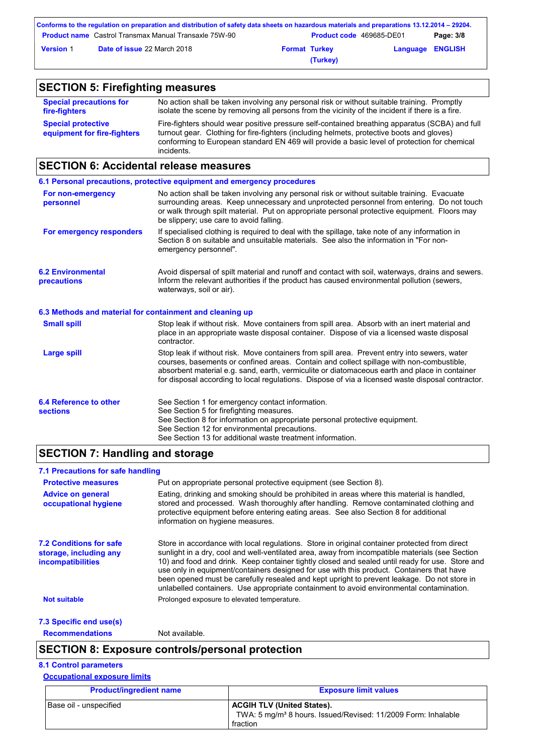| Conforms to the regulation on preparation and distribution of safety data sheets on hazardous materials and preparations 13.12.2014 – 29204. |                                                              |                      |                                 |                         |           |
|----------------------------------------------------------------------------------------------------------------------------------------------|--------------------------------------------------------------|----------------------|---------------------------------|-------------------------|-----------|
|                                                                                                                                              | <b>Product name</b> Castrol Transmax Manual Transaxle 75W-90 |                      | <b>Product code</b> 469685-DE01 |                         | Page: 3/8 |
| <b>Version 1</b>                                                                                                                             | <b>Date of issue 22 March 2018</b>                           | <b>Format Turkey</b> |                                 | <b>Language ENGLISH</b> |           |
|                                                                                                                                              |                                                              |                      | (Turkey)                        |                         |           |

### **SECTION 5: Firefighting measures**

| <b>Special precautions for</b>                           | No action shall be taken involving any personal risk or without suitable training. Promptly                                                                                                                                                                                                               |
|----------------------------------------------------------|-----------------------------------------------------------------------------------------------------------------------------------------------------------------------------------------------------------------------------------------------------------------------------------------------------------|
| fire-fighters                                            | isolate the scene by removing all persons from the vicinity of the incident if there is a fire.                                                                                                                                                                                                           |
| <b>Special protective</b><br>equipment for fire-fighters | Fire-fighters should wear positive pressure self-contained breathing apparatus (SCBA) and full<br>turnout gear. Clothing for fire-fighters (including helmets, protective boots and gloves)<br>conforming to European standard EN 469 will provide a basic level of protection for chemical<br>incidents. |

### **SECTION 6: Accidental release measures**

|                                                          | 6.1 Personal precautions, protective equipment and emergency procedures                                                                                                                                                                                                                                                                                                                        |
|----------------------------------------------------------|------------------------------------------------------------------------------------------------------------------------------------------------------------------------------------------------------------------------------------------------------------------------------------------------------------------------------------------------------------------------------------------------|
| For non-emergency<br>personnel                           | No action shall be taken involving any personal risk or without suitable training. Evacuate<br>surrounding areas. Keep unnecessary and unprotected personnel from entering. Do not touch<br>or walk through spilt material. Put on appropriate personal protective equipment. Floors may<br>be slippery; use care to avoid falling.                                                            |
| For emergency responders                                 | If specialised clothing is required to deal with the spillage, take note of any information in<br>Section 8 on suitable and unsuitable materials. See also the information in "For non-<br>emergency personnel".                                                                                                                                                                               |
| <b>6.2 Environmental</b><br>precautions                  | Avoid dispersal of spilt material and runoff and contact with soil, waterways, drains and sewers.<br>Inform the relevant authorities if the product has caused environmental pollution (sewers,<br>waterways, soil or air).                                                                                                                                                                    |
| 6.3 Methods and material for containment and cleaning up |                                                                                                                                                                                                                                                                                                                                                                                                |
| <b>Small spill</b>                                       | Stop leak if without risk. Move containers from spill area. Absorb with an inert material and<br>place in an appropriate waste disposal container. Dispose of via a licensed waste disposal<br>contractor.                                                                                                                                                                                     |
| <b>Large spill</b>                                       | Stop leak if without risk. Move containers from spill area. Prevent entry into sewers, water<br>courses, basements or confined areas. Contain and collect spillage with non-combustible,<br>absorbent material e.g. sand, earth, vermiculite or diatomaceous earth and place in container<br>for disposal according to local regulations. Dispose of via a licensed waste disposal contractor. |
| 6.4 Reference to other<br><b>sections</b>                | See Section 1 for emergency contact information.<br>See Section 5 for firefighting measures.<br>See Section 8 for information on appropriate personal protective equipment.<br>See Section 12 for environmental precautions.<br>See Section 13 for additional waste treatment information.                                                                                                     |

### **SECTION 7: Handling and storage**

#### Store in accordance with local regulations. Store in original container protected from direct sunlight in a dry, cool and well-ventilated area, away from incompatible materials (see Section 10) and food and drink. Keep container tightly closed and sealed until ready for use. Store and use only in equipment/containers designed for use with this product. Containers that have been opened must be carefully resealed and kept upright to prevent leakage. Do not store in unlabelled containers. Use appropriate containment to avoid environmental contamination. **7.1 Precautions for safe handling Protective measures Advice on general occupational hygiene 7.2 Conditions for safe storage, including any incompatibilities 7.3 Specific end use(s) Recommendations** Not available. Put on appropriate personal protective equipment (see Section 8). Eating, drinking and smoking should be prohibited in areas where this material is handled, stored and processed. Wash thoroughly after handling. Remove contaminated clothing and protective equipment before entering eating areas. See also Section 8 for additional information on hygiene measures. **Not suitable Not suitable** Prolonged exposure to elevated temperature.

### **SECTION 8: Exposure controls/personal protection**

#### **8.1 Control parameters**

#### **Occupational exposure limits**

| <b>Product/ingredient name</b> | <b>Exposure limit values</b>                                                                                               |
|--------------------------------|----------------------------------------------------------------------------------------------------------------------------|
| Base oil - unspecified         | <b>ACGIH TLV (United States).</b><br>TWA: 5 mg/m <sup>3</sup> 8 hours. Issued/Revised: 11/2009 Form: Inhalable<br>fraction |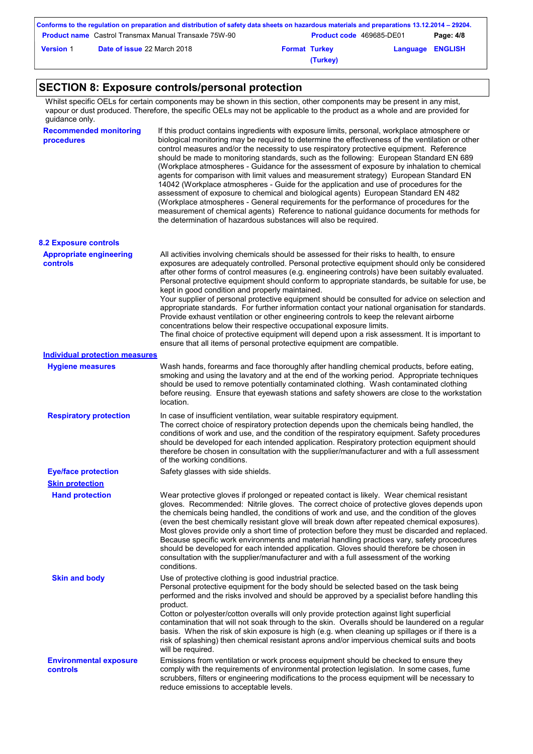|                  | Conforms to the regulation on preparation and distribution of safety data sheets on hazardous materials and preparations 13.12.2014 – 29204. |                                 |                         |           |
|------------------|----------------------------------------------------------------------------------------------------------------------------------------------|---------------------------------|-------------------------|-----------|
|                  | <b>Product name</b> Castrol Transmax Manual Transaxle 75W-90                                                                                 | <b>Product code 469685-DE01</b> |                         | Page: 4/8 |
| <b>Version 1</b> | <b>Date of issue 22 March 2018</b>                                                                                                           | <b>Format Turkey</b>            | <b>Language ENGLISH</b> |           |
|                  |                                                                                                                                              | (Turkey)                        |                         |           |

## **SECTION 8: Exposure controls/personal protection**

Whilst specific OELs for certain components may be shown in this section, other components may be present in any mist, vapour or dust produced. Therefore, the specific OELs may not be applicable to the product as a whole and are provided for quidance only.

| guiuui ivo viii y.                          |                                                                                                                                                                                                                                                                                                                                                                                                                                                                                                                                                                                                                                                                                                                                                                                                                                                                                                                                                                                                                            |
|---------------------------------------------|----------------------------------------------------------------------------------------------------------------------------------------------------------------------------------------------------------------------------------------------------------------------------------------------------------------------------------------------------------------------------------------------------------------------------------------------------------------------------------------------------------------------------------------------------------------------------------------------------------------------------------------------------------------------------------------------------------------------------------------------------------------------------------------------------------------------------------------------------------------------------------------------------------------------------------------------------------------------------------------------------------------------------|
| <b>Recommended monitoring</b><br>procedures | If this product contains ingredients with exposure limits, personal, workplace atmosphere or<br>biological monitoring may be required to determine the effectiveness of the ventilation or other<br>control measures and/or the necessity to use respiratory protective equipment. Reference<br>should be made to monitoring standards, such as the following: European Standard EN 689<br>(Workplace atmospheres - Guidance for the assessment of exposure by inhalation to chemical<br>agents for comparison with limit values and measurement strategy) European Standard EN<br>14042 (Workplace atmospheres - Guide for the application and use of procedures for the<br>assessment of exposure to chemical and biological agents) European Standard EN 482<br>(Workplace atmospheres - General requirements for the performance of procedures for the<br>measurement of chemical agents) Reference to national guidance documents for methods for<br>the determination of hazardous substances will also be required. |
| <b>8.2 Exposure controls</b>                |                                                                                                                                                                                                                                                                                                                                                                                                                                                                                                                                                                                                                                                                                                                                                                                                                                                                                                                                                                                                                            |
| <b>Appropriate engineering</b><br>controls  | All activities involving chemicals should be assessed for their risks to health, to ensure<br>exposures are adequately controlled. Personal protective equipment should only be considered<br>after other forms of control measures (e.g. engineering controls) have been suitably evaluated.<br>Personal protective equipment should conform to appropriate standards, be suitable for use, be<br>kept in good condition and properly maintained.<br>Your supplier of personal protective equipment should be consulted for advice on selection and<br>appropriate standards. For further information contact your national organisation for standards.<br>Provide exhaust ventilation or other engineering controls to keep the relevant airborne<br>concentrations below their respective occupational exposure limits.<br>The final choice of protective equipment will depend upon a risk assessment. It is important to<br>ensure that all items of personal protective equipment are compatible.                    |
| <b>Individual protection measures</b>       |                                                                                                                                                                                                                                                                                                                                                                                                                                                                                                                                                                                                                                                                                                                                                                                                                                                                                                                                                                                                                            |
| <b>Hygiene measures</b>                     | Wash hands, forearms and face thoroughly after handling chemical products, before eating,<br>smoking and using the lavatory and at the end of the working period. Appropriate techniques<br>should be used to remove potentially contaminated clothing. Wash contaminated clothing<br>before reusing. Ensure that eyewash stations and safety showers are close to the workstation<br>location.                                                                                                                                                                                                                                                                                                                                                                                                                                                                                                                                                                                                                            |
| <b>Respiratory protection</b>               | In case of insufficient ventilation, wear suitable respiratory equipment.<br>The correct choice of respiratory protection depends upon the chemicals being handled, the<br>conditions of work and use, and the condition of the respiratory equipment. Safety procedures<br>should be developed for each intended application. Respiratory protection equipment should<br>therefore be chosen in consultation with the supplier/manufacturer and with a full assessment<br>of the working conditions.                                                                                                                                                                                                                                                                                                                                                                                                                                                                                                                      |
| <b>Eye/face protection</b>                  | Safety glasses with side shields.                                                                                                                                                                                                                                                                                                                                                                                                                                                                                                                                                                                                                                                                                                                                                                                                                                                                                                                                                                                          |
| <b>Skin protection</b>                      |                                                                                                                                                                                                                                                                                                                                                                                                                                                                                                                                                                                                                                                                                                                                                                                                                                                                                                                                                                                                                            |
| <b>Hand protection</b>                      | Wear protective gloves if prolonged or repeated contact is likely. Wear chemical resistant<br>gloves. Recommended: Nitrile gloves. The correct choice of protective gloves depends upon<br>the chemicals being handled, the conditions of work and use, and the condition of the gloves<br>(even the best chemically resistant glove will break down after repeated chemical exposures)<br>Most gloves provide only a short time of protection before they must be discarded and replaced.<br>Because specific work environments and material handling practices vary, safety procedures<br>should be developed for each intended application. Gloves should therefore be chosen in<br>consultation with the supplier/manufacturer and with a full assessment of the working<br>conditions.                                                                                                                                                                                                                                |
| <b>Skin and body</b>                        | Use of protective clothing is good industrial practice.<br>Personal protective equipment for the body should be selected based on the task being<br>performed and the risks involved and should be approved by a specialist before handling this<br>product.<br>Cotton or polyester/cotton overalls will only provide protection against light superficial<br>contamination that will not soak through to the skin. Overalls should be laundered on a regular<br>basis. When the risk of skin exposure is high (e.g. when cleaning up spillages or if there is a<br>risk of splashing) then chemical resistant aprons and/or impervious chemical suits and boots<br>will be required.                                                                                                                                                                                                                                                                                                                                      |
| <b>Environmental exposure</b><br>controls   | Emissions from ventilation or work process equipment should be checked to ensure they<br>comply with the requirements of environmental protection legislation. In some cases, fume<br>scrubbers, filters or engineering modifications to the process equipment will be necessary to<br>reduce emissions to acceptable levels.                                                                                                                                                                                                                                                                                                                                                                                                                                                                                                                                                                                                                                                                                              |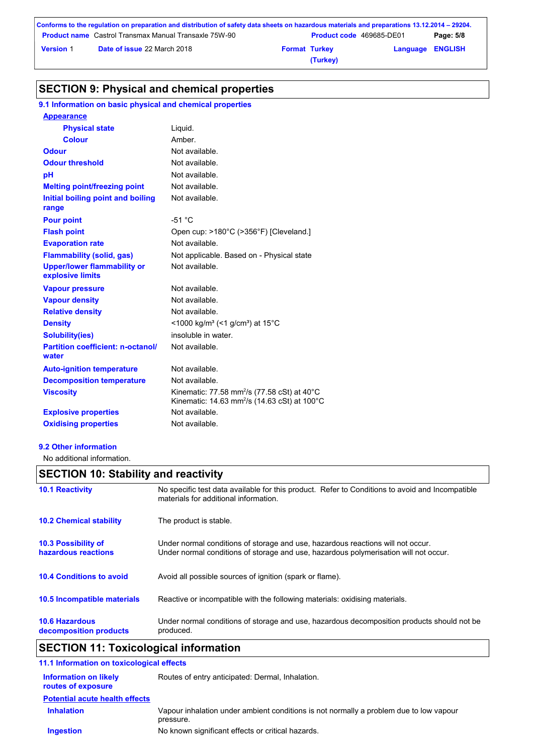|                  | Conforms to the regulation on preparation and distribution of safety data sheets on hazardous materials and preparations 13.12.2014 – 29204. |                      |                                 |                         |           |
|------------------|----------------------------------------------------------------------------------------------------------------------------------------------|----------------------|---------------------------------|-------------------------|-----------|
|                  | <b>Product name</b> Castrol Transmax Manual Transaxle 75W-90                                                                                 |                      | <b>Product code 469685-DE01</b> |                         | Page: 5/8 |
| <b>Version 1</b> | <b>Date of issue 22 March 2018</b>                                                                                                           | <b>Format Turkey</b> |                                 | <b>Language ENGLISH</b> |           |
|                  |                                                                                                                                              |                      | (Turkey)                        |                         |           |

## **SECTION 9: Physical and chemical properties**

### **9.1 Information on basic physical and chemical properties**

| <b>Appearance</b>                                      |                                                                                                                                           |
|--------------------------------------------------------|-------------------------------------------------------------------------------------------------------------------------------------------|
| <b>Physical state</b>                                  | Liquid.                                                                                                                                   |
| Colour                                                 | Amber.                                                                                                                                    |
| <b>Odour</b>                                           | Not available.                                                                                                                            |
| <b>Odour threshold</b>                                 | Not available.                                                                                                                            |
| pH                                                     | Not available.                                                                                                                            |
| <b>Melting point/freezing point</b>                    | Not available.                                                                                                                            |
| Initial boiling point and boiling<br>range             | Not available.                                                                                                                            |
| <b>Pour point</b>                                      | $-51 °C$                                                                                                                                  |
| <b>Flash point</b>                                     | Open cup: >180°C (>356°F) [Cleveland.]                                                                                                    |
| <b>Evaporation rate</b>                                | Not available                                                                                                                             |
| <b>Flammability (solid, gas)</b>                       | Not applicable. Based on - Physical state                                                                                                 |
| <b>Upper/lower flammability or</b><br>explosive limits | Not available.                                                                                                                            |
| <b>Vapour pressure</b>                                 | Not available.                                                                                                                            |
| <b>Vapour density</b>                                  | Not available.                                                                                                                            |
| <b>Relative density</b>                                | Not available.                                                                                                                            |
| <b>Density</b>                                         | <1000 kg/m <sup>3</sup> (<1 g/cm <sup>3</sup> ) at 15 <sup>°</sup> C                                                                      |
| <b>Solubility(ies)</b>                                 | insoluble in water.                                                                                                                       |
| <b>Partition coefficient: n-octanol/</b><br>water      | Not available.                                                                                                                            |
| <b>Auto-ignition temperature</b>                       | Not available.                                                                                                                            |
| <b>Decomposition temperature</b>                       | Not available.                                                                                                                            |
| <b>Viscosity</b>                                       | Kinematic: 77.58 mm <sup>2</sup> /s (77.58 cSt) at 40 $^{\circ}$ C<br>Kinematic: 14.63 mm <sup>2</sup> /s (14.63 cSt) at 100 $^{\circ}$ C |
| <b>Explosive properties</b>                            | Not available.                                                                                                                            |
| <b>Oxidising properties</b>                            | Not available.                                                                                                                            |

**9.2 Other information**

No additional information.

# **SECTION 10: Stability and reactivity**

| <b>10.6 Hazardous</b><br>decomposition products | Under normal conditions of storage and use, hazardous decomposition products should not be<br>produced.                                                                 |
|-------------------------------------------------|-------------------------------------------------------------------------------------------------------------------------------------------------------------------------|
| 10.5 Incompatible materials                     | Reactive or incompatible with the following materials: oxidising materials.                                                                                             |
| <b>10.4 Conditions to avoid</b>                 | Avoid all possible sources of ignition (spark or flame).                                                                                                                |
| 10.3 Possibility of<br>hazardous reactions      | Under normal conditions of storage and use, hazardous reactions will not occur.<br>Under normal conditions of storage and use, hazardous polymerisation will not occur. |
| <b>10.2 Chemical stability</b>                  | The product is stable.                                                                                                                                                  |
| <b>10.1 Reactivity</b>                          | No specific test data available for this product. Refer to Conditions to avoid and Incompatible<br>materials for additional information.                                |

# **SECTION 11: Toxicological information**

| 11.1 Information on toxicological effects   |                                                                                                     |
|---------------------------------------------|-----------------------------------------------------------------------------------------------------|
| Information on likely<br>routes of exposure | Routes of entry anticipated: Dermal, Inhalation.                                                    |
| <b>Potential acute health effects</b>       |                                                                                                     |
| <b>Inhalation</b>                           | Vapour inhalation under ambient conditions is not normally a problem due to low vapour<br>pressure. |
| <b>Ingestion</b>                            | No known significant effects or critical hazards.                                                   |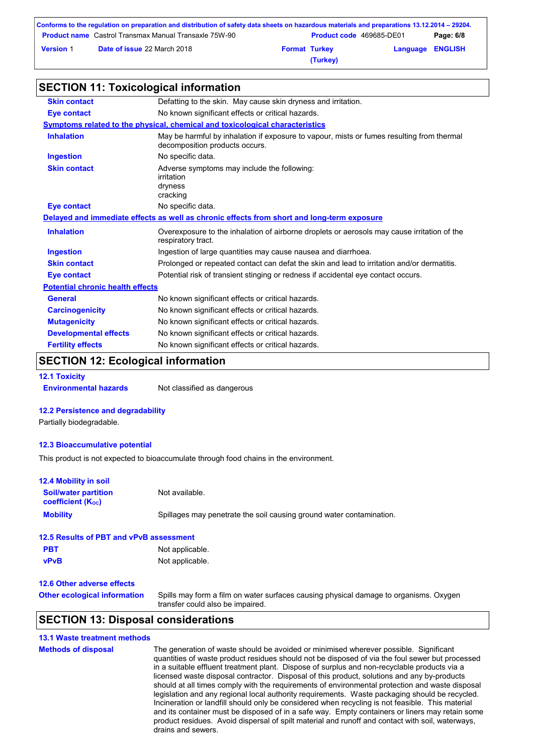|                  | Conforms to the regulation on preparation and distribution of safety data sheets on hazardous materials and preparations 13.12.2014 – 29204. |                      |                                 |                         |           |
|------------------|----------------------------------------------------------------------------------------------------------------------------------------------|----------------------|---------------------------------|-------------------------|-----------|
|                  | <b>Product name</b> Castrol Transmax Manual Transaxle 75W-90                                                                                 |                      | <b>Product code</b> 469685-DE01 |                         | Page: 6/8 |
| <b>Version 1</b> | <b>Date of issue 22 March 2018</b>                                                                                                           | <b>Format Turkey</b> |                                 | <b>Language ENGLISH</b> |           |
|                  |                                                                                                                                              |                      | (Turkey)                        |                         |           |

### **SECTION 11: Toxicological information**

| <b>Skin contact</b>                     | Defatting to the skin. May cause skin dryness and irritation.                                                               |
|-----------------------------------------|-----------------------------------------------------------------------------------------------------------------------------|
| <b>Eye contact</b>                      | No known significant effects or critical hazards.                                                                           |
|                                         | Symptoms related to the physical, chemical and toxicological characteristics                                                |
| <b>Inhalation</b>                       | May be harmful by inhalation if exposure to vapour, mists or fumes resulting from thermal<br>decomposition products occurs. |
| <b>Ingestion</b>                        | No specific data.                                                                                                           |
| <b>Skin contact</b>                     | Adverse symptoms may include the following:<br>irritation<br>dryness<br>cracking                                            |
| <b>Eye contact</b>                      | No specific data.                                                                                                           |
|                                         | Delayed and immediate effects as well as chronic effects from short and long-term exposure                                  |
| <b>Inhalation</b>                       | Overexposure to the inhalation of airborne droplets or aerosols may cause irritation of the<br>respiratory tract.           |
| <b>Ingestion</b>                        | Ingestion of large quantities may cause nausea and diarrhoea.                                                               |
| <b>Skin contact</b>                     | Prolonged or repeated contact can defat the skin and lead to irritation and/or dermatitis.                                  |
| Eye contact                             | Potential risk of transient stinging or redness if accidental eye contact occurs.                                           |
| <b>Potential chronic health effects</b> |                                                                                                                             |
| General                                 | No known significant effects or critical hazards.                                                                           |
| <b>Carcinogenicity</b>                  | No known significant effects or critical hazards.                                                                           |
| <b>Mutagenicity</b>                     | No known significant effects or critical hazards.                                                                           |
| <b>Developmental effects</b>            | No known significant effects or critical hazards.                                                                           |
| <b>Fertility effects</b>                | No known significant effects or critical hazards.                                                                           |

## **SECTION 12: Ecological information**

**12.1 Toxicity**

**Environmental hazards** Not classified as dangerous

#### **12.2 Persistence and degradability**

Partially biodegradable.

#### **12.3 Bioaccumulative potential**

This product is not expected to bioaccumulate through food chains in the environment.

| <b>12.4 Mobility in soil</b>                            |                                                                                                                           |
|---------------------------------------------------------|---------------------------------------------------------------------------------------------------------------------------|
| <b>Soil/water partition</b><br><b>coefficient (Koc)</b> | Not available.                                                                                                            |
| <b>Mobility</b>                                         | Spillages may penetrate the soil causing ground water contamination.                                                      |
| 12.5 Results of PBT and vPvB assessment                 |                                                                                                                           |
| <b>PBT</b>                                              | Not applicable.                                                                                                           |
| <b>vPvB</b>                                             | Not applicable.                                                                                                           |
| <b>12.6 Other adverse effects</b>                       |                                                                                                                           |
| <b>Other ecological information</b>                     | Spills may form a film on water surfaces causing physical damage to organisms. Oxygen<br>transfer could also be impaired. |
| --------                                                |                                                                                                                           |

### **SECTION 13: Disposal considerations**

#### **13.1 Waste treatment methods Methods of disposal** The generation of waste should be avoided or minimised wherever possible. Significant quantities of waste product residues should not be disposed of via the foul sewer but processed in a suitable effluent treatment plant. Dispose of surplus and non-recyclable products via a licensed waste disposal contractor. Disposal of this product, solutions and any by-products should at all times comply with the requirements of environmental protection and waste disposal legislation and any regional local authority requirements. Waste packaging should be recycled. Incineration or landfill should only be considered when recycling is not feasible. This material and its container must be disposed of in a safe way. Empty containers or liners may retain some product residues. Avoid dispersal of spilt material and runoff and contact with soil, waterways, drains and sewers.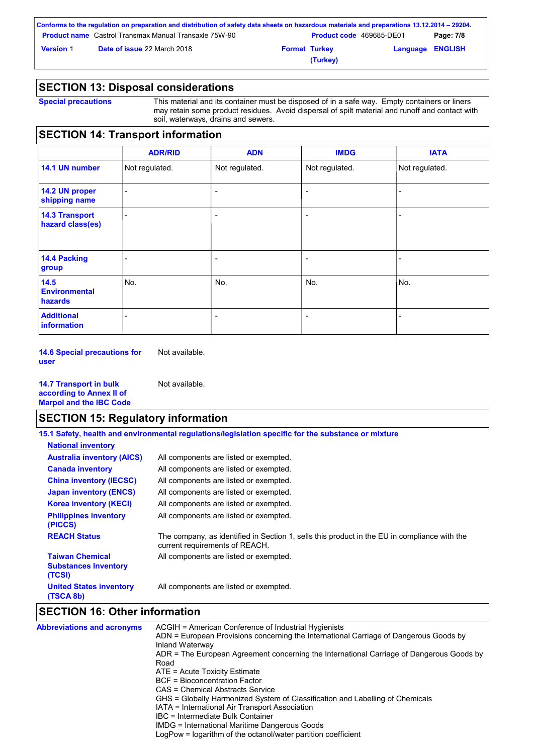|                  | Conforms to the regulation on preparation and distribution of safety data sheets on hazardous materials and preparations 13.12.2014 – 29204. |                                 |                         |           |
|------------------|----------------------------------------------------------------------------------------------------------------------------------------------|---------------------------------|-------------------------|-----------|
|                  | <b>Product name</b> Castrol Transmax Manual Transaxle 75W-90                                                                                 | <b>Product code</b> 469685-DE01 |                         | Page: 7/8 |
| <b>Version 1</b> | <b>Date of issue 22 March 2018</b>                                                                                                           | <b>Format Turkey</b>            | <b>Language ENGLISH</b> |           |
|                  |                                                                                                                                              | (Turkey)                        |                         |           |

### **SECTION 13: Disposal considerations**

**Special precautions** This material and its container must be disposed of in a safe way. Empty containers or liners may retain some product residues. Avoid dispersal of spilt material and runoff and contact with soil, waterways, drains and sewers.

# **SECTION 14: Transport information**

|                                                | <b>ADR/RID</b> | <b>ADN</b>               | <b>IMDG</b>              | <b>IATA</b>    |
|------------------------------------------------|----------------|--------------------------|--------------------------|----------------|
| 14.1 UN number                                 | Not regulated. | Not regulated.           | Not regulated.           | Not regulated. |
| 14.2 UN proper<br>shipping name                |                | $\overline{\phantom{a}}$ | ٠                        | ۰              |
| <b>14.3 Transport</b><br>hazard class(es)      |                | $\overline{\phantom{0}}$ | ٠                        | ۰              |
| 14.4 Packing<br>group                          |                | $\overline{\phantom{a}}$ | $\overline{\phantom{a}}$ |                |
| 14.5<br><b>Environmental</b><br><b>hazards</b> | No.            | No.                      | No.                      | No.            |
| <b>Additional</b><br><b>information</b>        |                | $\overline{\phantom{a}}$ | $\overline{\phantom{a}}$ |                |

**14.6 Special precautions for user** Not available.

**14.7 Transport in bulk according to Annex II of Marpol and the IBC Code** Not available.

### **SECTION 15: Regulatory information**

**15.1 Safety, health and environmental regulations/legislation specific for the substance or mixture**

| <b>National inventory</b>                                       |                                                                                                                                |
|-----------------------------------------------------------------|--------------------------------------------------------------------------------------------------------------------------------|
| <b>Australia inventory (AICS)</b>                               | All components are listed or exempted.                                                                                         |
| <b>Canada inventory</b>                                         | All components are listed or exempted.                                                                                         |
| <b>China inventory (IECSC)</b>                                  | All components are listed or exempted.                                                                                         |
| <b>Japan inventory (ENCS)</b>                                   | All components are listed or exempted.                                                                                         |
| <b>Korea inventory (KECI)</b>                                   | All components are listed or exempted.                                                                                         |
| <b>Philippines inventory</b><br>(PICCS)                         | All components are listed or exempted.                                                                                         |
| <b>REACH Status</b>                                             | The company, as identified in Section 1, sells this product in the EU in compliance with the<br>current requirements of REACH. |
| <b>Taiwan Chemical</b><br><b>Substances Inventory</b><br>(TCSI) | All components are listed or exempted.                                                                                         |
| <b>United States inventory</b><br>(TSCA 8b)                     | All components are listed or exempted.                                                                                         |

### **SECTION 16: Other information**

| <b>Abbreviations and acronyms</b> | ACGIH = American Conference of Industrial Hygienists                                                     |
|-----------------------------------|----------------------------------------------------------------------------------------------------------|
|                                   | ADN = European Provisions concerning the International Carriage of Dangerous Goods by<br>Inland Waterway |
|                                   | ADR = The European Agreement concerning the International Carriage of Dangerous Goods by                 |
|                                   | Road                                                                                                     |
|                                   | $ATE = Acute Toxicity Estimate$                                                                          |
|                                   | <b>BCF</b> = Bioconcentration Factor                                                                     |
|                                   | CAS = Chemical Abstracts Service                                                                         |
|                                   | GHS = Globally Harmonized System of Classification and Labelling of Chemicals                            |
|                                   | IATA = International Air Transport Association                                                           |
|                                   | IBC = Intermediate Bulk Container                                                                        |
|                                   | IMDG = International Maritime Dangerous Goods                                                            |
|                                   | LogPow = logarithm of the octanol/water partition coefficient                                            |